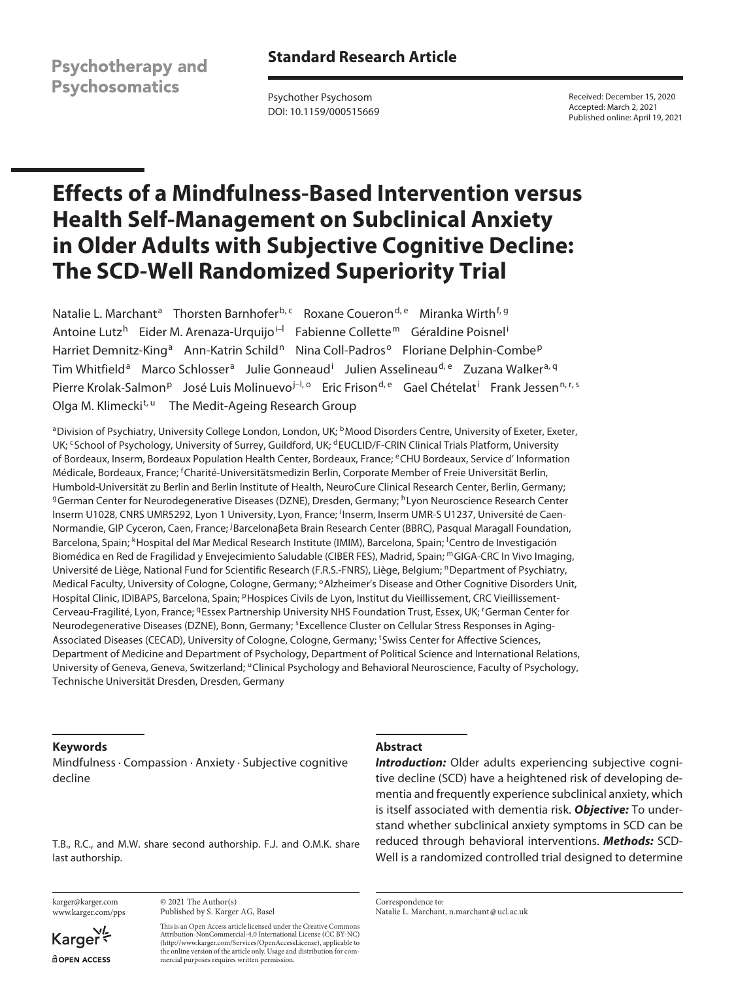**Psychotherapy and Psychosomatics** 

Psychother Psychosom DOI: 10.1159/000515669 Received: December 15, 2020 Accepted: March 2, 2021 Published online: April 19, 2021

# **Effects of a Mindfulness-Based Intervention versus Health Self-Management on Subclinical Anxiety in Older Adults with Subjective Cognitive Decline: The SCD-Well Randomized Superiority Trial**

Natalie L. Marchant<sup>a</sup> Thorsten Barnhofer<sup>b, c</sup> Roxane Coueron<sup>d, e</sup> Miranka Wirth<sup>f, g</sup> Antoine Lutz<sup>h</sup> Eider M. Arenaza-Urquijo<sup>i–I</sup> Fabienne Collette<sup>m</sup> Géraldine Poisnel<sup>i</sup> Harriet Demnitz-King<sup>a</sup> Ann-Katrin Schild<sup>n</sup> Nina Coll-Padros<sup>o</sup> Floriane Delphin-Combe<sup>p</sup> Tim Whitfield<sup>a</sup> Marco Schlosser<sup>a</sup> Julie Gonneaud<sup>i</sup> Julien Asselineau<sup>d, e</sup> Zuzana Walker<sup>a, q</sup> Pierre Krolak-Salmon<sup>p</sup> José Luis Molinuevo<sup>j-I, o</sup> Eric Frison<sup>d, e</sup> Gael Chételat<sup>i</sup> Frank Jessen<sup>n, r, s</sup> Olga M. Klimecki<sup>t, u</sup> The Medit-Ageing Research Group

aDivision of Psychiatry, University College London, London, UK; <sup>b</sup>Mood Disorders Centre, University of Exeter, Exeter, UK; <sup>c</sup>School of Psychology, University of Surrey, Guildford, UK; <sup>d</sup>EUCLID/F-CRIN Clinical Trials Platform, University of Bordeaux, Inserm, Bordeaux Population Health Center, Bordeaux, France; eCHU Bordeaux, Service d' Information Médicale, Bordeaux, France; <sup>f</sup>Charité-Universitätsmedizin Berlin, Corporate Member of Freie Universität Berlin, Humbold-Universität zu Berlin and Berlin Institute of Health, NeuroCure Clinical Research Center, Berlin, Germany; <sup>g</sup>German Center for Neurodegenerative Diseases (DZNE), Dresden, Germany; <sup>h</sup>Lyon Neuroscience Research Center Inserm U1028, CNRS UMR5292, Lyon 1 University, Lyon, France; <sup>i</sup>Inserm, Inserm UMR-S U1237, Université de Caen-Normandie, GIP Cyceron, Caen, France; <sup>j</sup>Barcelonaßeta Brain Research Center (BBRC), Pasqual Maragall Foundation, Barcelona, Spain; <sup>k</sup>Hospital del Mar Medical Research Institute (IMIM), Barcelona, Spain; <sup>I</sup>Centro de Investigación Biomédica en Red de Fragilidad y Envejecimiento Saludable (CIBER FES), Madrid, Spain; mGIGA-CRC In Vivo Imaging, Université de Liège, National Fund for Scientific Research (F.R.S.-FNRS), Liège, Belgium; nDepartment of Psychiatry, Medical Faculty, University of Cologne, Cologne, Germany; <sup>o</sup>Alzheimer's Disease and Other Cognitive Disorders Unit, Hospital Clinic, IDIBAPS, Barcelona, Spain; <sup>p</sup>Hospices Civils de Lyon, Institut du Vieillissement, CRC Vieillissement-Cerveau-Fragilité, Lyon, France; <sup>q</sup>Essex Partnership University NHS Foundation Trust, Essex, UK; <sup>r</sup>German Center for Neurodegenerative Diseases (DZNE), Bonn, Germany; <sup>s</sup>Excellence Cluster on Cellular Stress Responses in Aging-Associated Diseases (CECAD), University of Cologne, Cologne, Germany; <sup>t</sup>Swiss Center for Affective Sciences, Department of Medicine and Department of Psychology, Department of Political Science and International Relations, University of Geneva, Geneva, Switzerland; "Clinical Psychology and Behavioral Neuroscience, Faculty of Psychology, Technische Universität Dresden, Dresden, Germany

## **Keywords**

Mindfulness · Compassion · Anxiety · Subjective cognitive decline

T.B., R.C., and M.W. share second authorship. F.J. and O.M.K. share last authorship.

karger@karger.com www.karger.com/pps

Karger dopen Access

© 2021 The Author(s) Published by S. Karger AG, Basel

This is an Open Access article licensed under the Creative Commons Attribution-NonCommercial-4.0 International License (CC BY-NC) (http://www.karger.com/Services/OpenAccessLicense), applicable to the online version of the article only. Usage and distribution for commercial purposes requires written permission.

## **Abstract**

*Introduction:* Older adults experiencing subjective cognitive decline (SCD) have a heightened risk of developing dementia and frequently experience subclinical anxiety, which is itself associated with dementia risk. *Objective:* To understand whether subclinical anxiety symptoms in SCD can be reduced through behavioral interventions. *Methods:* SCD-Well is a randomized controlled trial designed to determine

Correspondence to: Natalie L. Marchant, n.marchant@ucl.ac.uk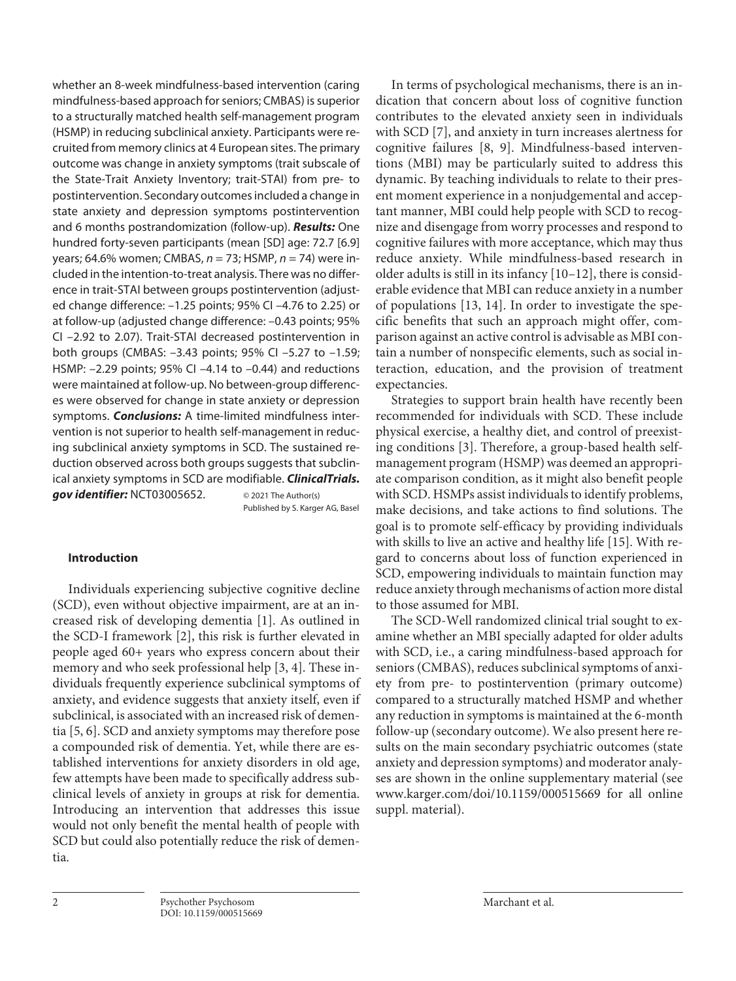whether an 8-week mindfulness-based intervention (caring mindfulness-based approach for seniors; CMBAS) is superior to a structurally matched health self-management program (HSMP) in reducing subclinical anxiety. Participants were recruited from memory clinics at 4 European sites. The primary outcome was change in anxiety symptoms (trait subscale of the State-Trait Anxiety Inventory; trait-STAI) from pre- to postintervention. Secondary outcomes included a change in state anxiety and depression symptoms postintervention and 6 months postrandomization (follow-up). *Results:* One hundred forty-seven participants (mean [SD] age: 72.7 [6.9] years; 64.6% women; CMBAS, *n* = 73; HSMP, *n* = 74) were included in the intention-to-treat analysis. There was no difference in trait-STAI between groups postintervention (adjusted change difference: –1.25 points; 95% CI –4.76 to 2.25) or at follow-up (adjusted change difference: –0.43 points; 95% CI –2.92 to 2.07). Trait-STAI decreased postintervention in both groups (CMBAS: –3.43 points; 95% CI –5.27 to –1.59; HSMP: –2.29 points; 95% CI –4.14 to –0.44) and reductions were maintained at follow-up. No between-group differences were observed for change in state anxiety or depression symptoms. *Conclusions:* A time-limited mindfulness intervention is not superior to health self-management in reducing subclinical anxiety symptoms in SCD. The sustained reduction observed across both groups suggests that subclinical anxiety symptoms in SCD are modifiable. *ClinicalTrials.* **gov identifier:** NCT03005652. © 2021 The Author(s)

## Published by S. Karger AG, Basel

## **Introduction**

<span id="page-1-3"></span><span id="page-1-2"></span><span id="page-1-1"></span><span id="page-1-0"></span>Individuals experiencing subjective cognitive decline (SCD), even without objective impairment, are at an increased risk of developing dementia [[1\]](#page-8-0). As outlined in the SCD-I framework [\[2](#page-8-1)], this risk is further elevated in people aged 60+ years who express concern about their memory and who seek professional help [[3,](#page-8-2) [4](#page-8-3)]. These individuals frequently experience subclinical symptoms of anxiety, and evidence suggests that anxiety itself, even if subclinical, is associated with an increased risk of dementia [[5,](#page-8-4) [6\]](#page-8-5). SCD and anxiety symptoms may therefore pose a compounded risk of dementia. Yet, while there are established interventions for anxiety disorders in old age, few attempts have been made to specifically address subclinical levels of anxiety in groups at risk for dementia. Introducing an intervention that addresses this issue would not only benefit the mental health of people with SCD but could also potentially reduce the risk of dementia.

<span id="page-1-5"></span><span id="page-1-4"></span>In terms of psychological mechanisms, there is an indication that concern about loss of cognitive function contributes to the elevated anxiety seen in individuals with SCD [[7\]](#page-9-0), and anxiety in turn increases alertness for cognitive failures [[8](#page-9-1), [9](#page-9-2)]. Mindfulness-based interventions (MBI) may be particularly suited to address this dynamic. By teaching individuals to relate to their present moment experience in a nonjudgemental and acceptant manner, MBI could help people with SCD to recognize and disengage from worry processes and respond to cognitive failures with more acceptance, which may thus reduce anxiety. While mindfulness-based research in older adults is still in its infancy [\[10](#page-8-0)–[1](#page-8-0)[2](#page-8-1)], there is considerable evidence that MBI can reduce anxiety in a number of populations [\[1](#page-8-0)[3](#page-8-2), [1](#page-8-0)[4](#page-8-3)]. In order to investigate the specific benefits that such an approach might offer, comparison against an active control is advisable as MBI contain a number of nonspecific elements, such as social interaction, education, and the provision of treatment expectancies.

<span id="page-1-7"></span><span id="page-1-6"></span>Strategies to support brain health have recently been recommended for individuals with SCD. These include physical exercise, a healthy diet, and control of preexisting conditions [[3\]](#page-8-2). Therefore, a group-based health selfmanagement program (HSMP) was deemed an appropriate comparison condition, as it might also benefit people with SCD. HSMPs assist individuals to identify problems, make decisions, and take actions to find solutions. The goal is to promote self-efficacy by providing individuals with skills to live an active and healthy life [\[1](#page-8-0)[5](#page-8-4)]. With regard to concerns about loss of function experienced in SCD, empowering individuals to maintain function may reduce anxiety through mechanisms of action more distal to those assumed for MBI.

<span id="page-1-8"></span>The SCD-Well randomized clinical trial sought to examine whether an MBI specially adapted for older adults with SCD, i.e., a caring mindfulness-based approach for seniors (CMBAS), reduces subclinical symptoms of anxiety from pre- to postintervention (primary outcome) compared to a structurally matched HSMP and whether any reduction in symptoms is maintained at the 6-month follow-up (secondary outcome). We also present here results on the main secondary psychiatric outcomes (state anxiety and depression symptoms) and moderator analyses are shown in the online supplementary material (see www.karger.com/doi/10.1159/000515669 for all online suppl. material).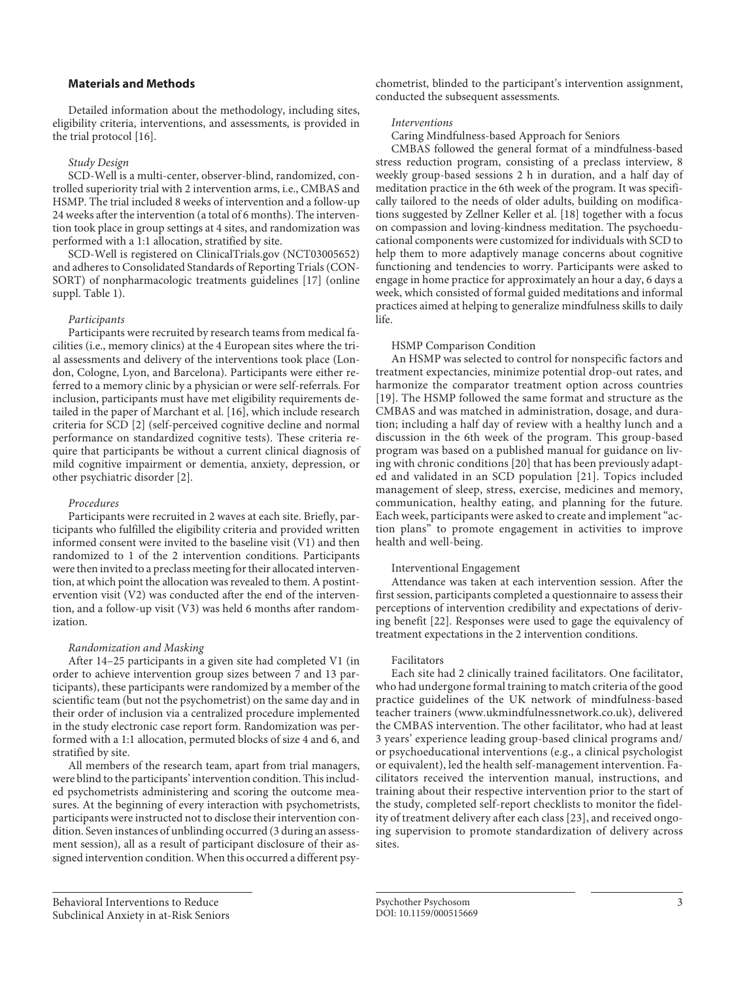## **Materials and Methods**

<span id="page-2-0"></span>Detailed information about the methodology, including sites, eligibility criteria, interventions, and assessments, is provided in the trial protocol [\[1](#page-8-0)[6](#page-8-5)].

#### *Study Design*

SCD-Well is a multi-center, observer-blind, randomized, controlled superiority trial with 2 intervention arms, i.e., CMBAS and HSMP. The trial included 8 weeks of intervention and a follow-up 24 weeks after the intervention (a total of 6 months). The intervention took place in group settings at 4 sites, and randomization was performed with a 1:1 allocation, stratified by site.

<span id="page-2-1"></span>SCD-Well is registered on ClinicalTrials.gov (NCT03005652) and adheres to Consolidated Standards of Reporting Trials (CON-SORT) of nonpharmacologic treatments guidelines [\[1](#page-8-0)[7](#page-9-0)] (online suppl. Table 1).

#### *Participants*

Participants were recruited by research teams from medical facilities (i.e., memory clinics) at the 4 European sites where the trial assessments and delivery of the interventions took place (London, Cologne, Lyon, and Barcelona). Participants were either referred to a memory clinic by a physician or were self-referrals. For inclusion, participants must have met eligibility requirements detailed in the paper of Marchant et al. [[1](#page-8-0)[6\]](#page-8-5), which include research criteria for SCD [[2](#page-8-1)] (self-perceived cognitive decline and normal performance on standardized cognitive tests). These criteria require that participants be without a current clinical diagnosis of mild cognitive impairment or dementia, anxiety, depression, or other psychiatric disorder [\[2\]](#page-8-1).

#### *Procedures*

Participants were recruited in 2 waves at each site. Briefly, participants who fulfilled the eligibility criteria and provided written informed consent were invited to the baseline visit (V1) and then randomized to 1 of the 2 intervention conditions. Participants were then invited to a preclass meeting for their allocated intervention, at which point the allocation was revealed to them. A postintervention visit (V2) was conducted after the end of the intervention, and a follow-up visit (V3) was held 6 months after randomization.

### *Randomization and Masking*

After 14–25 participants in a given site had completed V1 (in order to achieve intervention group sizes between 7 and 13 participants), these participants were randomized by a member of the scientific team (but not the psychometrist) on the same day and in their order of inclusion via a centralized procedure implemented in the study electronic case report form. Randomization was performed with a 1:1 allocation, permuted blocks of size 4 and 6, and stratified by site.

All members of the research team, apart from trial managers, were blind to the participants' intervention condition. This included psychometrists administering and scoring the outcome measures. At the beginning of every interaction with psychometrists, participants were instructed not to disclose their intervention condition. Seven instances of unblinding occurred (3 during an assessment session), all as a result of participant disclosure of their assigned intervention condition. When this occurred a different psychometrist, blinded to the participant's intervention assignment, conducted the subsequent assessments.

#### *Interventions*

Caring Mindfulness-based Approach for Seniors

<span id="page-2-2"></span>CMBAS followed the general format of a mindfulness-based stress reduction program, consisting of a preclass interview, 8 weekly group-based sessions 2 h in duration, and a half day of meditation practice in the 6th week of the program. It was specifically tailored to the needs of older adults, building on modifications suggested by Zellner Keller et al. [[1](#page-8-0)[8\]](#page-9-1) together with a focus on compassion and loving-kindness meditation. The psychoeducational components were customized for individuals with SCD to help them to more adaptively manage concerns about cognitive functioning and tendencies to worry. Participants were asked to engage in home practice for approximately an hour a day, 6 days a week, which consisted of formal guided meditations and informal practices aimed at helping to generalize mindfulness skills to daily life.

#### HSMP Comparison Condition

<span id="page-2-4"></span><span id="page-2-3"></span>An HSMP was selected to control for nonspecific factors and treatment expectancies, minimize potential drop-out rates, and harmonize the comparator treatment option across countries [\[1](#page-8-0)[9\]](#page-9-2). The HSMP followed the same format and structure as the CMBAS and was matched in administration, dosage, and duration; including a half day of review with a healthy lunch and a discussion in the 6th week of the program. This group-based program was based on a published manual for guidance on living with chronic conditions [[20](#page-8-1)] that has been previously adapted and validated in an SCD population [[2](#page-8-1)[1\]](#page-8-0). Topics included management of sleep, stress, exercise, medicines and memory, communication, healthy eating, and planning for the future. Each week, participants were asked to create and implement "action plans" to promote engagement in activities to improve health and well-being.

#### <span id="page-2-5"></span>Interventional Engagement

<span id="page-2-6"></span>Attendance was taken at each intervention session. After the first session, participants completed a questionnaire to assess their perceptions of intervention credibility and expectations of deriving benefit [\[22](#page-8-1)]. Responses were used to gage the equivalency of treatment expectations in the 2 intervention conditions.

#### Facilitators

<span id="page-2-7"></span>Each site had 2 clinically trained facilitators. One facilitator, who had undergone formal training to match criteria of the good practice guidelines of the UK network of mindfulness-based teacher trainers (www.ukmindfulnessnetwork.co.uk), delivered the CMBAS intervention. The other facilitator, who had at least 3 years' experience leading group-based clinical programs and/ or psychoeducational interventions (e.g., a clinical psychologist or equivalent), led the health self-management intervention. Facilitators received the intervention manual, instructions, and training about their respective intervention prior to the start of the study, completed self-report checklists to monitor the fidelity of treatment delivery after each class [[2](#page-8-1)[3](#page-8-2)], and received ongoing supervision to promote standardization of delivery across sites.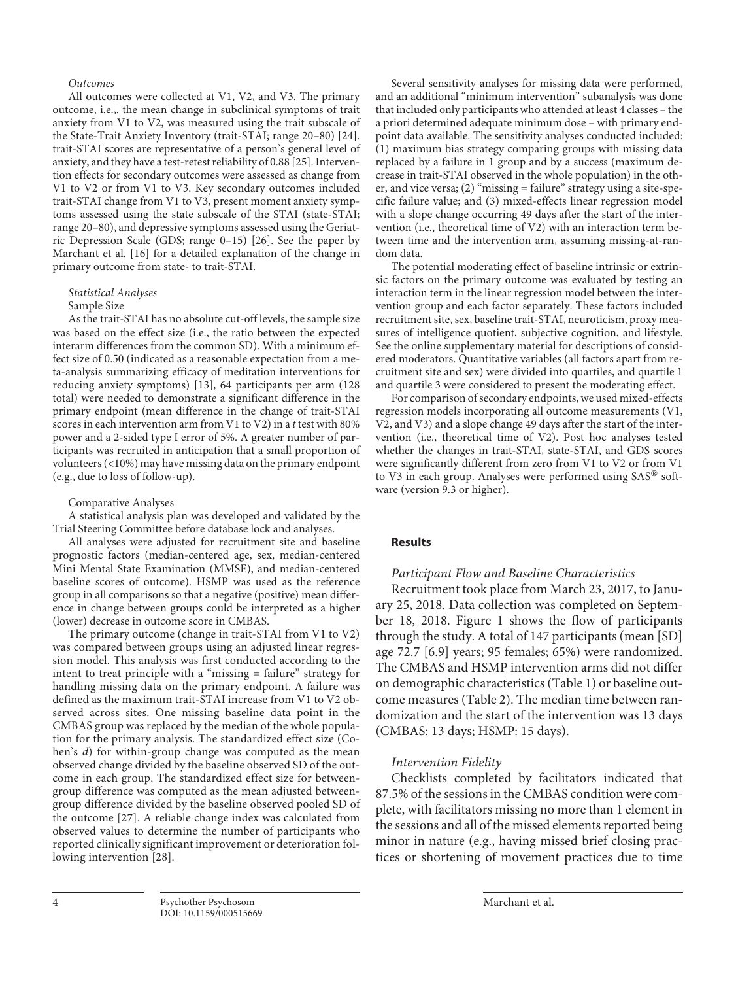## *Outcomes*

<span id="page-3-1"></span><span id="page-3-0"></span>All outcomes were collected at V1, V2, and V3. The primary outcome, i.e.,. the mean change in subclinical symptoms of trait anxiety from V1 to V2, was measured using the trait subscale of the State-Trait Anxiety Inventory (trait-STAI; range 20–80) [[2](#page-8-1)[4\]](#page-8-3). trait-STAI scores are representative of a person's general level of anxiety, and they have a test-retest reliability of 0.88 [\[2](#page-8-1)[5](#page-8-4)]. Intervention effects for secondary outcomes were assessed as change from V1 to V2 or from V1 to V3. Key secondary outcomes included trait-STAI change from V1 to V3, present moment anxiety symptoms assessed using the state subscale of the STAI (state-STAI; range 20–80), and depressive symptoms assessed using the Geriatric Depression Scale (GDS; range 0–15) [[2](#page-8-1)[6\]](#page-8-5). See the paper by Marchant et al. [[1](#page-8-0)[6\]](#page-8-5) for a detailed explanation of the change in primary outcome from state- to trait-STAI.

## <span id="page-3-2"></span>*Statistical Analyses*

#### Sample Size

As the trait-STAI has no absolute cut-off levels, the sample size was based on the effect size (i.e., the ratio between the expected interarm differences from the common SD). With a minimum effect size of 0.50 (indicated as a reasonable expectation from a meta-analysis summarizing efficacy of meditation interventions for reducing anxiety symptoms) [\[1](#page-8-0)[3](#page-8-2)], 64 participants per arm (128 total) were needed to demonstrate a significant difference in the primary endpoint (mean difference in the change of trait-STAI scores in each intervention arm from V1 to V2) in a *t* test with 80% power and a 2-sided type I error of 5%. A greater number of participants was recruited in anticipation that a small proportion of volunteers (<10%) may have missing data on the primary endpoint (e.g., due to loss of follow-up).

## Comparative Analyses

A statistical analysis plan was developed and validated by the Trial Steering Committee before database lock and analyses.

All analyses were adjusted for recruitment site and baseline prognostic factors (median-centered age, sex, median-centered Mini Mental State Examination (MMSE), and median-centered baseline scores of outcome). HSMP was used as the reference group in all comparisons so that a negative (positive) mean difference in change between groups could be interpreted as a higher (lower) decrease in outcome score in CMBAS.

<span id="page-3-4"></span><span id="page-3-3"></span>The primary outcome (change in trait-STAI from V1 to V2) was compared between groups using an adjusted linear regression model. This analysis was first conducted according to the intent to treat principle with a "missing = failure" strategy for handling missing data on the primary endpoint. A failure was defined as the maximum trait-STAI increase from V1 to V2 observed across sites. One missing baseline data point in the CMBAS group was replaced by the median of the whole population for the primary analysis. The standardized effect size (Cohen's *d*) for within-group change was computed as the mean observed change divided by the baseline observed SD of the outcome in each group. The standardized effect size for betweengroup difference was computed as the mean adjusted betweengroup difference divided by the baseline observed pooled SD of the outcome [\[2](#page-8-1)[7\]](#page-9-0). A reliable change index was calculated from observed values to determine the number of participants who reported clinically significant improvement or deterioration following intervention [\[2](#page-8-1)[8\]](#page-9-1).

Several sensitivity analyses for missing data were performed, and an additional "minimum intervention" subanalysis was done that included only participants who attended at least 4 classes – the a priori determined adequate minimum dose – with primary endpoint data available. The sensitivity analyses conducted included: (1) maximum bias strategy comparing groups with missing data replaced by a failure in 1 group and by a success (maximum decrease in trait-STAI observed in the whole population) in the other, and vice versa; (2) "missing = failure" strategy using a site-specific failure value; and (3) mixed-effects linear regression model with a slope change occurring 49 days after the start of the intervention (i.e., theoretical time of V2) with an interaction term between time and the intervention arm, assuming missing-at-random data.

The potential moderating effect of baseline intrinsic or extrinsic factors on the primary outcome was evaluated by testing an interaction term in the linear regression model between the intervention group and each factor separately. These factors included recruitment site, sex, baseline trait-STAI, neuroticism, proxy measures of intelligence quotient, subjective cognition, and lifestyle. See the online supplementary material for descriptions of considered moderators. Quantitative variables (all factors apart from recruitment site and sex) were divided into quartiles, and quartile 1 and quartile 3 were considered to present the moderating effect.

For comparison of secondary endpoints, we used mixed-effects regression models incorporating all outcome measurements (V1, V2, and V3) and a slope change 49 days after the start of the intervention (i.e., theoretical time of V2). Post hoc analyses tested whether the changes in trait-STAI, state-STAI, and GDS scores were significantly different from zero from V1 to V2 or from V1 to V3 in each group. Analyses were performed using SAS® software (version 9.3 or higher).

## **Results**

## *Participant Flow and Baseline Characteristics*

Recruitment took place from March 23, 2017, to January 25, 2018. Data collection was completed on September 18, 2018. Figure 1 shows the flow of participants through the study. A total of 147 participants (mean [SD] age 72.7 [6.9] years; 95 females; 65%) were randomized. The CMBAS and HSMP intervention arms did not differ on demographic characteristics (Table 1) or baseline outcome measures (Table 2). The median time between randomization and the start of the intervention was 13 days (CMBAS: 13 days; HSMP: 15 days).

## *Intervention Fidelity*

Checklists completed by facilitators indicated that 87.5% of the sessions in the CMBAS condition were complete, with facilitators missing no more than 1 element in the sessions and all of the missed elements reported being minor in nature (e.g., having missed brief closing practices or shortening of movement practices due to time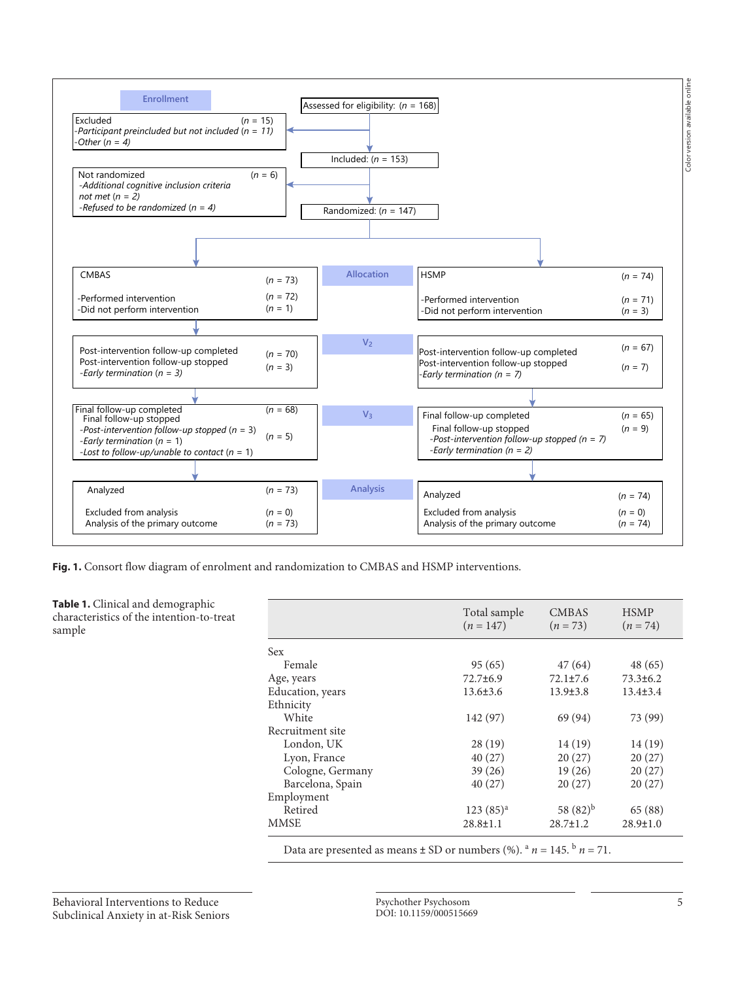

**Fig. 1.** Consort flow diagram of enrolment and randomization to CMBAS and HSMP interventions.

**Table 1.** Clinical and demographic characteristics of the intention-to-treat sample

|                                                                                                       | Total sample<br>$(n = 147)$ | <b>CMBAS</b><br>$(n=73)$ | <b>HSMP</b><br>$(n = 74)$ |
|-------------------------------------------------------------------------------------------------------|-----------------------------|--------------------------|---------------------------|
| Sex                                                                                                   |                             |                          |                           |
| Female                                                                                                | 95(65)                      | 47 (64)                  | 48(65)                    |
| Age, years                                                                                            | 72.7±6.9                    | $72.1 \pm 7.6$           | $73.3 \pm 6.2$            |
| Education, years                                                                                      | $13.6 \pm 3.6$              | $13.9 \pm 3.8$           | $13.4 \pm 3.4$            |
| Ethnicity                                                                                             |                             |                          |                           |
| White                                                                                                 | 142 (97)                    | 69 (94)                  | 73 (99)                   |
| Recruitment site                                                                                      |                             |                          |                           |
| London, UK                                                                                            | 28(19)                      | 14 (19)                  | 14(19)                    |
| Lyon, France                                                                                          | 40(27)                      | 20(27)                   | 20(27)                    |
| Cologne, Germany                                                                                      | 39(26)                      | 19(26)                   | 20(27)                    |
| Barcelona, Spain                                                                                      | 40(27)                      | 20(27)                   | 20(27)                    |
| Employment                                                                                            |                             |                          |                           |
| Retired                                                                                               | $123(85)^{a}$               | 58 $(82)^{b}$            | 65 (88)                   |
| <b>MMSE</b>                                                                                           | $28.8 \pm 1.1$              | $28.7 \pm 1.2$           | $28.9 \pm 1.0$            |
| Data are presented as means $\pm$ SD or numbers (%). <sup>a</sup> $n = 145$ . <sup>b</sup> $n = 71$ . |                             |                          |                           |

Behavioral Interventions to Reduce Subclinical Anxiety in at-Risk Seniors

Psychother Psychosom 5 DOI: 10.1159/000515669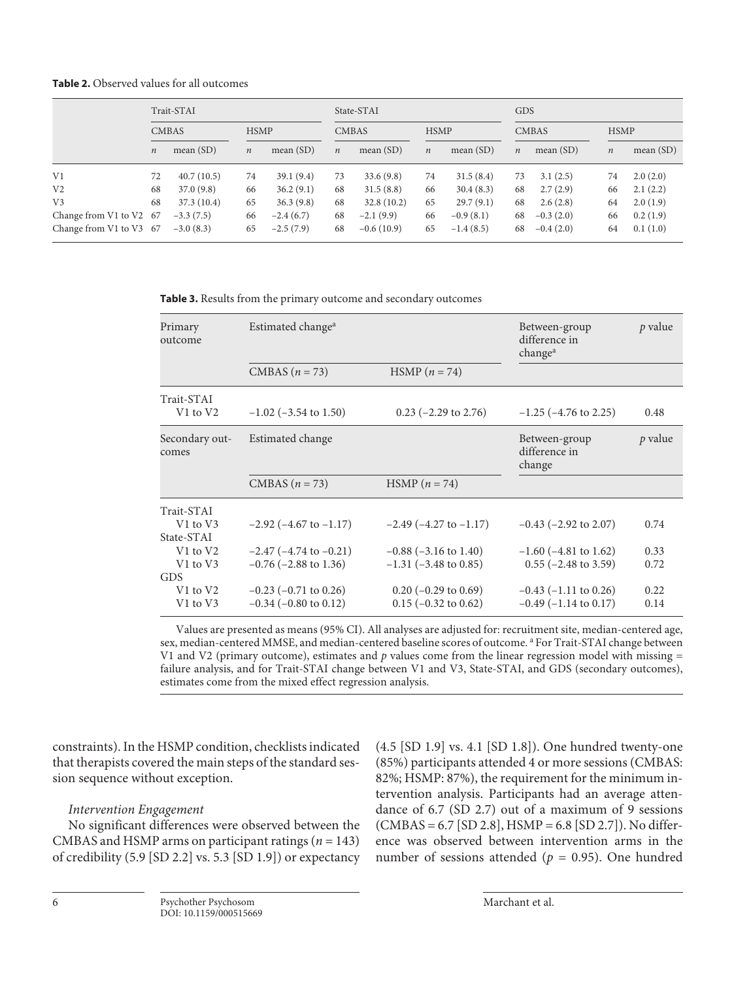**Table 2.** Observed values for all outcomes

|                         | Trait-STAI       |             |                  |             | State-STAI       |              |                  |             | <b>GDS</b>       |              |         |             |  |
|-------------------------|------------------|-------------|------------------|-------------|------------------|--------------|------------------|-------------|------------------|--------------|---------|-------------|--|
|                         | <b>CMBAS</b>     |             | <b>HSMP</b>      |             |                  | <b>CMBAS</b> |                  | <b>HSMP</b> |                  | <b>CMBAS</b> |         | <b>HSMP</b> |  |
|                         | $\boldsymbol{n}$ | mean $(SD)$ | $\boldsymbol{n}$ | mean $(SD)$ | $\boldsymbol{n}$ | mean $(SD)$  | $\boldsymbol{n}$ | mean $(SD)$ | $\boldsymbol{n}$ | mean $(SD)$  | $\it n$ | mean $(SD)$ |  |
| V <sub>1</sub>          | 72               | 40.7(10.5)  | 74               | 39.1(9.4)   | 73               | 33.6(9.8)    | 74               | 31.5(8.4)   | 73               | 3.1(2.5)     | 74      | 2.0(2.0)    |  |
| V <sub>2</sub>          | 68               | 37.0(9.8)   | 66               | 36.2(9.1)   | 68               | 31.5(8.8)    | 66               | 30.4(8.3)   | 68               | 2.7(2.9)     | 66      | 2.1(2.2)    |  |
| V <sub>3</sub>          | 68               | 37.3(10.4)  | 65               | 36.3(9.8)   | 68               | 32.8(10.2)   | 65               | 29.7(9.1)   | 68               | 2.6(2.8)     | 64      | 2.0(1.9)    |  |
| Change from V1 to V2 67 |                  | $-3.3(7.5)$ | 66               | $-2.4(6.7)$ | 68               | $-2.1(9.9)$  | 66               | $-0.9(8.1)$ | 68               | $-0.3(2.0)$  | 66      | 0.2(1.9)    |  |
| Change from V1 to V3 67 |                  | $-3.0(8.3)$ | 65               | $-2.5(7.9)$ | 68               | $-0.6(10.9)$ | 65               | $-1.4(8.5)$ | 68               | $-0.4(2.0)$  | 64      | 0.1(1.0)    |  |

**Table 3.** Results from the primary outcome and secondary outcomes

| Primary<br>outcome      | Estimated change <sup>a</sup>  | Between-group<br>difference in<br>change <sup>a</sup> | $p$ value                                |         |
|-------------------------|--------------------------------|-------------------------------------------------------|------------------------------------------|---------|
|                         | CMBAS $(n = 73)$               | $HSMP (n = 74)$                                       |                                          |         |
| Trait-STAI              |                                |                                                       |                                          |         |
| V1 to V2                | $-1.02$ ( $-3.54$ to 1.50)     | $0.23$ (-2.29 to 2.76)                                | $-1.25$ ( $-4.76$ to 2.25)               | 0.48    |
| Secondary out-<br>comes | Estimated change               |                                                       | Between-group<br>difference in<br>change | p value |
|                         | CMBAS $(n = 73)$               | $HSMP (n = 74)$                                       |                                          |         |
| Trait-STAI              |                                |                                                       |                                          |         |
| V1 to V3<br>State-STAI  | $-2.92$ ( $-4.67$ to $-1.17$ ) | $-2.49$ ( $-4.27$ to $-1.17$ )                        | $-0.43$ ( $-2.92$ to 2.07)               | 0.74    |
| V1 to V2                | $-2.47$ ( $-4.74$ to $-0.21$ ) | $-0.88$ ( $-3.16$ to 1.40)                            | $-1.60$ ( $-4.81$ to 1.62)               | 0.33    |
| V1 to V3                | $-0.76$ ( $-2.88$ to 1.36)     | $-1.31$ ( $-3.48$ to 0.85)                            | $0.55$ ( $-2.48$ to 3.59)                | 0.72    |
| GDS                     |                                |                                                       |                                          |         |
| V1 to V2                | $-0.23$ ( $-0.71$ to 0.26)     | $0.20$ (-0.29 to 0.69)                                | $-0.43$ ( $-1.11$ to 0.26)               | 0.22    |
| V1 to V3                | $-0.34$ ( $-0.80$ to 0.12)     | $0.15$ (-0.32 to 0.62)                                | $-0.49$ ( $-1.14$ to 0.17)               | 0.14    |

Values are presented as means (95% CI). All analyses are adjusted for: recruitment site, median-centered age, sex, median-centered MMSE, and median-centered baseline scores of outcome. <sup>a</sup> For Trait-STAI change between V1 and V2 (primary outcome), estimates and *p* values come from the linear regression model with missing = failure analysis, and for Trait-STAI change between V1 and V3, State-STAI, and GDS (secondary outcomes), estimates come from the mixed effect regression analysis.

constraints). In the HSMP condition, checklists indicated that therapists covered the main steps of the standard session sequence without exception.

## *Intervention Engagement*

No significant differences were observed between the CMBAS and HSMP arms on participant ratings (*n* = 143) of credibility (5.9 [SD 2.2] vs. 5.3 [SD 1.9]) or expectancy (4.5 [SD 1.9] vs. 4.1 [SD 1.8]). One hundred twenty-one (85%) participants attended 4 or more sessions (CMBAS: 82%; HSMP: 87%), the requirement for the minimum intervention analysis. Participants had an average attendance of 6.7 (SD 2.7) out of a maximum of 9 sessions (CMBAS = 6.7 [SD 2.8], HSMP = 6.8 [SD 2.7]). No difference was observed between intervention arms in the number of sessions attended ( $p = 0.95$ ). One hundred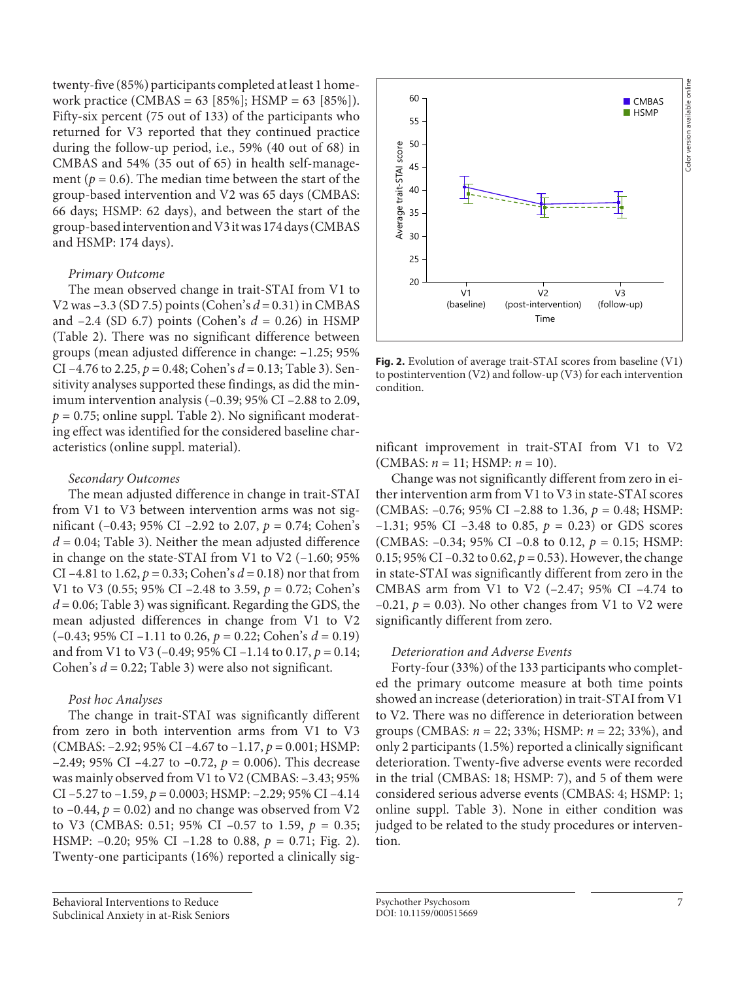twenty-five (85%) participants completed at least 1 homework practice (CMBAS = 63 [85%]; HSMP = 63 [85%]). Fifty-six percent (75 out of 133) of the participants who returned for V3 reported that they continued practice during the follow-up period, i.e., 59% (40 out of 68) in CMBAS and 54% (35 out of 65) in health self-management ( $p = 0.6$ ). The median time between the start of the group-based intervention and V2 was 65 days (CMBAS: 66 days; HSMP: 62 days), and between the start of the group-based intervention and V3 it was 174 days (CMBAS and HSMP: 174 days).

## *Primary Outcome*

The mean observed change in trait-STAI from V1 to V2 was –3.3 (SD 7.5) points (Cohen's *d* = 0.31) in CMBAS and –2.4 (SD 6.7) points (Cohen's *d* = 0.26) in HSMP (Table 2). There was no significant difference between groups (mean adjusted difference in change: –1.25; 95% CI –4.76 to 2.25, *p* = 0.48; Cohen's *d* = 0.13; Table 3). Sensitivity analyses supported these findings, as did the minimum intervention analysis (–0.39; 95% CI –2.88 to 2.09,  $p = 0.75$ ; online suppl. Table 2). No significant moderating effect was identified for the considered baseline characteristics (online suppl. material).

## *Secondary Outcomes*

The mean adjusted difference in change in trait-STAI from V1 to V3 between intervention arms was not significant (–0.43; 95% CI –2.92 to 2.07, *p* = 0.74; Cohen's *d* = 0.04; Table 3). Neither the mean adjusted difference in change on the state-STAI from V1 to V2 (–1.60; 95% CI –4.81 to 1.62, *p* = 0.33; Cohen's *d* = 0.18) nor that from V1 to V3 (0.55; 95% CI –2.48 to 3.59, *p* = 0.72; Cohen's  $d = 0.06$ ; Table 3) was significant. Regarding the GDS, the mean adjusted differences in change from V1 to V2 (–0.43; 95% CI –1.11 to 0.26, *p* = 0.22; Cohen's *d* = 0.19) and from V1 to V3 (–0.49; 95% CI –1.14 to 0.17, *p* = 0.14; Cohen's *d* = 0.22; Table 3) were also not significant.

## *Post hoc Analyses*

The change in trait-STAI was significantly different from zero in both intervention arms from V1 to V3 (CMBAS: –2.92; 95% CI –4.67 to –1.17, *p* = 0.001; HSMP: –2.49; 95% CI –4.27 to –0.72,  $p = 0.006$ ). This decrease was mainly observed from V1 to V2 (CMBAS: –3.43; 95% CI –5.27 to –1.59, *p* = 0.0003; HSMP: –2.29; 95% CI –4.14 to  $-0.44$ ,  $p = 0.02$ ) and no change was observed from V2 to V3 (CMBAS: 0.51; 95% CI –0.57 to 1.59,  $p = 0.35$ ; HSMP: –0.20; 95% CI –1.28 to 0.88, *p* = 0.71; Fig. 2). Twenty-one participants (16%) reported a clinically sig-



**Fig. 2.** Evolution of average trait-STAI scores from baseline (V1) to postintervention (V2) and follow-up (V3) for each intervention condition.

nificant improvement in trait-STAI from V1 to V2 (CMBAS: *n* = 11; HSMP: *n* = 10).

Change was not significantly different from zero in either intervention arm from V1 to V3 in state-STAI scores (CMBAS: –0.76; 95% CI –2.88 to 1.36, *p* = 0.48; HSMP: –1.31; 95% CI –3.48 to 0.85,  $p = 0.23$ ) or GDS scores (CMBAS: –0.34; 95% CI –0.8 to 0.12, *p* = 0.15; HSMP: 0.15; 95% CI –0.32 to 0.62,  $p = 0.53$ ). However, the change in state-STAI was significantly different from zero in the CMBAS arm from V1 to V2 (–2.47; 95% CI –4.74 to  $-0.21$ ,  $p = 0.03$ ). No other changes from V1 to V2 were significantly different from zero.

## *Deterioration and Adverse Events*

Forty-four (33%) of the 133 participants who completed the primary outcome measure at both time points showed an increase (deterioration) in trait-STAI from V1 to V2. There was no difference in deterioration between groups (CMBAS: *n* = 22; 33%; HSMP: *n* = 22; 33%), and only 2 participants (1.5%) reported a clinically significant deterioration. Twenty-five adverse events were recorded in the trial (CMBAS: 18; HSMP: 7), and 5 of them were considered serious adverse events (CMBAS: 4; HSMP: 1; online suppl. Table 3). None in either condition was judged to be related to the study procedures or intervention.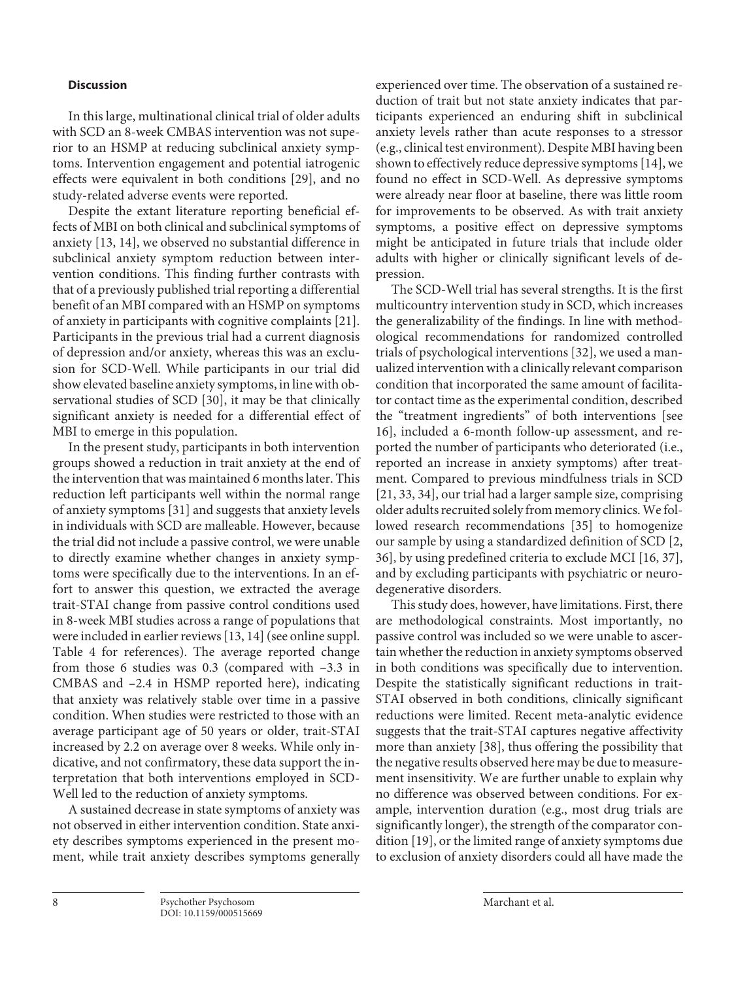## **Discussion**

In this large, multinational clinical trial of older adults with SCD an 8-week CMBAS intervention was not superior to an HSMP at reducing subclinical anxiety symptoms. Intervention engagement and potential iatrogenic effects were equivalent in both conditions [[2](#page-8-1)[9\]](#page-9-2), and no study-related adverse events were reported.

<span id="page-7-0"></span>Despite the extant literature reporting beneficial effects of MBI on both clinical and subclinical symptoms of anxiety [[1](#page-8-0)[3](#page-8-2), [1](#page-8-0)[4\]](#page-8-3), we observed no substantial difference in subclinical anxiety symptom reduction between intervention conditions. This finding further contrasts with that of a previously published trial reporting a differential benefit of an MBI compared with an HSMP on symptoms of anxiety in participants with cognitive complaints [\[2](#page-8-1)[1\]](#page-8-0). Participants in the previous trial had a current diagnosis of depression and/or anxiety, whereas this was an exclusion for SCD-Well. While participants in our trial did show elevated baseline anxiety symptoms, in line with observational studies of SCD [[3](#page-8-2)0], it may be that clinically significant anxiety is needed for a differential effect of MBI to emerge in this population.

<span id="page-7-1"></span>In the present study, participants in both intervention groups showed a reduction in trait anxiety at the end of the intervention that was maintained 6 months later. This reduction left participants well within the normal range of anxiety symptoms [[3](#page-8-2)[1](#page-8-0)] and suggests that anxiety levels in individuals with SCD are malleable. However, because the trial did not include a passive control, we were unable to directly examine whether changes in anxiety symptoms were specifically due to the interventions. In an effort to answer this question, we extracted the average trait-STAI change from passive control conditions used in 8-week MBI studies across a range of populations that were included in earlier reviews [[1](#page-8-0)[3](#page-8-2), [1](#page-8-0)[4](#page-8-3)] (see online suppl. Table 4 for references). The average reported change from those 6 studies was 0.3 (compared with –3.3 in CMBAS and –2.4 in HSMP reported here), indicating that anxiety was relatively stable over time in a passive condition. When studies were restricted to those with an average participant age of 50 years or older, trait-STAI increased by 2.2 on average over 8 weeks. While only indicative, and not confirmatory, these data support the interpretation that both interventions employed in SCD-Well led to the reduction of anxiety symptoms.

A sustained decrease in state symptoms of anxiety was not observed in either intervention condition. State anxiety describes symptoms experienced in the present moment, while trait anxiety describes symptoms generally experienced over time. The observation of a sustained reduction of trait but not state anxiety indicates that participants experienced an enduring shift in subclinical anxiety levels rather than acute responses to a stressor (e.g., clinical test environment). Despite MBI having been shown to effectively reduce depressive symptoms [[1](#page-8-0)[4\]](#page-8-3), we found no effect in SCD-Well. As depressive symptoms were already near floor at baseline, there was little room for improvements to be observed. As with trait anxiety symptoms, a positive effect on depressive symptoms might be anticipated in future trials that include older adults with higher or clinically significant levels of depression.

The SCD-Well trial has several strengths. It is the first multicountry intervention study in SCD, which increases the generalizability of the findings. In line with methodological recommendations for randomized controlled trials of psychological interventions [[3](#page-8-2)[2\]](#page-8-1), we used a manualized intervention with a clinically relevant comparison condition that incorporated the same amount of facilitator contact time as the experimental condition, described the "treatment ingredients" of both interventions [see [1](#page-8-0)[6\]](#page-8-5), included a 6-month follow-up assessment, and reported the number of participants who deteriorated (i.e., reported an increase in anxiety symptoms) after treatment. Compared to previous mindfulness trials in SCD [[2](#page-8-1)[1](#page-8-0), [33, 3](#page-8-2)[4\]](#page-8-3), our trial had a larger sample size, comprising older adults recruited solely from memory clinics. We followed research recommendations [[3](#page-8-2)[5](#page-8-4)] to homogenize our sample by using a standardized definition of SCD [[2](#page-8-1), [3](#page-8-2)[6\]](#page-8-5), by using predefined criteria to exclude MCI [[1](#page-8-0)[6](#page-8-5), [3](#page-8-2)[7](#page-9-0)], and by excluding participants with psychiatric or neurodegenerative disorders.

This study does, however, have limitations. First, there are methodological constraints. Most importantly, no passive control was included so we were unable to ascertain whether the reduction in anxiety symptoms observed in both conditions was specifically due to intervention. Despite the statistically significant reductions in trait-STAI observed in both conditions, clinically significant reductions were limited. Recent meta-analytic evidence suggests that the trait-STAI captures negative affectivity more than anxiety [[3](#page-8-2)[8](#page-9-1)], thus offering the possibility that the negative results observed here may be due to measurement insensitivity. We are further unable to explain why no difference was observed between conditions. For example, intervention duration (e.g., most drug trials are significantly longer), the strength of the comparator condition [[1](#page-8-0)[9](#page-9-2)], or the limited range of anxiety symptoms due to exclusion of anxiety disorders could all have made the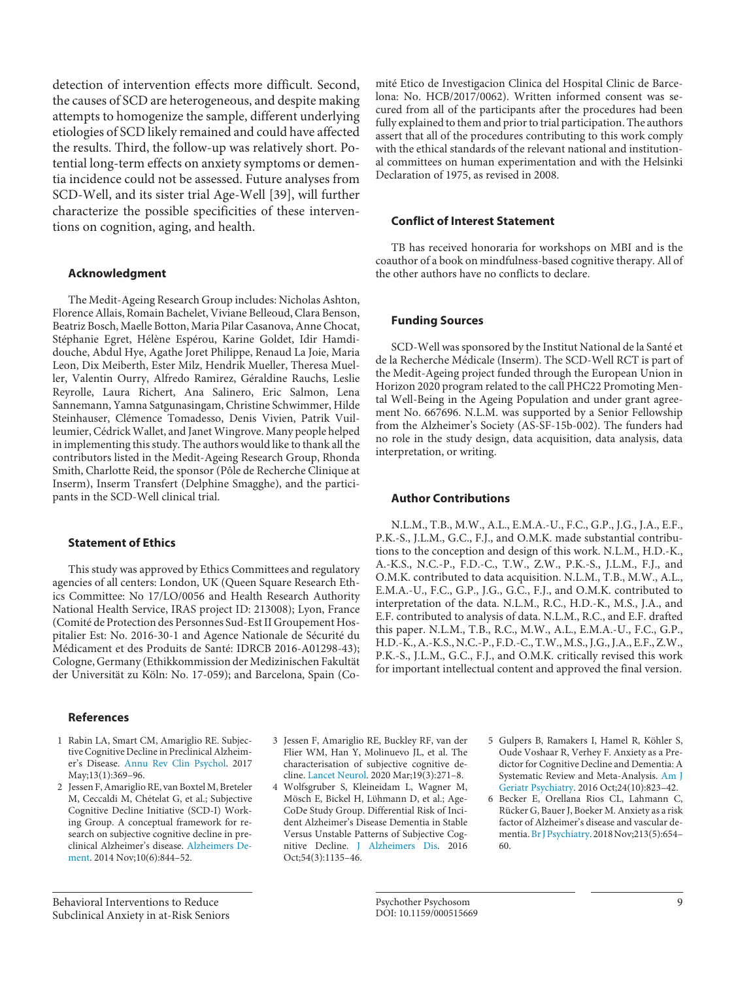detection of intervention effects more difficult. Second, the causes of SCD are heterogeneous, and despite making attempts to homogenize the sample, different underlying etiologies of SCD likely remained and could have affected the results. Third, the follow-up was relatively short. Potential long-term effects on anxiety symptoms or dementia incidence could not be assessed. Future analyses from SCD-Well, and its sister trial Age-Well [[3](#page-8-2)[9](#page-9-2)], will further characterize the possible specificities of these interventions on cognition, aging, and health.

## **Acknowledgment**

The Medit-Ageing Research Group includes: Nicholas Ashton, Florence Allais, Romain Bachelet, Viviane Belleoud, Clara Benson, Beatriz Bosch, Maelle Botton, Maria Pilar Casanova, Anne Chocat, Stéphanie Egret, Hélène Espérou, Karine Goldet, Idir Hamdidouche, Abdul Hye, Agathe Joret Philippe, Renaud La Joie, Maria Leon, Dix Meiberth, Ester Milz, Hendrik Mueller, Theresa Mueller, Valentin Ourry, Alfredo Ramirez, Géraldine Rauchs, Leslie Reyrolle, Laura Richert, Ana Salinero, Eric Salmon, Lena Sannemann, Yamna Satgunasingam, Christine Schwimmer, Hilde Steinhauser, Clémence Tomadesso, Denis Vivien, Patrik Vuilleumier, Cédrick Wallet, and Janet Wingrove. Many people helped in implementing this study. The authors would like to thank all the contributors listed in the Medit-Ageing Research Group, Rhonda Smith, Charlotte Reid, the sponsor (Pôle de Recherche Clinique at Inserm), Inserm Transfert (Delphine Smagghe), and the participants in the SCD-Well clinical trial.

## **Statement of Ethics**

This study was approved by Ethics Committees and regulatory agencies of all centers: London, UK (Queen Square Research Ethics Committee: No 17/LO/0056 and Health Research Authority National Health Service, IRAS project ID: 213008); Lyon, France (Comité de Protection des Personnes Sud-Est II Groupement Hospitalier Est: No. 2016-30-1 and Agence Nationale de Sécurité du Médicament et des Produits de Santé: IDRCB 2016-A01298-43); Cologne, Germany (Ethikkommission der Medizinischen Fakultät der Universität zu Köln: No. 17-059); and Barcelona, Spain (Co-

### **References**

- <span id="page-8-0"></span>[1](#page-1-0) Rabin LA, Smart CM, Amariglio RE. Subjective Cognitive Decline in Preclinical Alzheimer's Disease. [Annu Rev Clin Psychol.](https://www.karger.com/Article/FullText/515669?ref=1#ref1) 2017 May;13(1):369–96.
- <span id="page-8-1"></span>[2](#page-1-1) Jessen F, Amariglio RE, van Boxtel M, Breteler M, Ceccaldi M, Chételat G, et al.; Subjective Cognitive Decline Initiative (SCD-I) Working Group. A conceptual framework for research on subjective cognitive decline in preclinical Alzheimer's disease. [Alzheimers De](https://www.karger.com/Article/FullText/515669?ref=2#ref2)[ment.](https://www.karger.com/Article/FullText/515669?ref=2#ref2) 2014 Nov;10(6):844–52.

Behavioral Interventions to Reduce Subclinical Anxiety in at-Risk Seniors <span id="page-8-2"></span>[3](#page-1-2) Jessen F, Amariglio RE, Buckley RF, van der Flier WM, Han Y, Molinuevo JL, et al. The characterisation of subjective cognitive decline. [Lancet Neurol](https://www.karger.com/Article/FullText/515669?ref=3#ref3). 2020 Mar;19(3):271–8.

<span id="page-8-3"></span>[4](#page-1-2) Wolfsgruber S, Kleineidam L, Wagner M, Mösch E, Bickel H, Lϋhmann D, et al.; Age-CoDe Study Group. Differential Risk of Incident Alzheimer's Disease Dementia in Stable Versus Unstable Patterns of Subjective Cognitive Decline. [J Alzheimers Dis](https://www.karger.com/Article/FullText/515669?ref=4#ref4). 2016 Oct;54(3):1135–46.

mité Etico de Investigacion Clinica del Hospital Clinic de Barcelona: No. HCB/2017/0062). Written informed consent was secured from all of the participants after the procedures had been fully explained to them and prior to trial participation. The authors assert that all of the procedures contributing to this work comply with the ethical standards of the relevant national and institutional committees on human experimentation and with the Helsinki Declaration of 1975, as revised in 2008.

#### **Conflict of Interest Statement**

TB has received honoraria for workshops on MBI and is the coauthor of a book on mindfulness-based cognitive therapy. All of the other authors have no conflicts to declare.

## **Funding Sources**

SCD-Well was sponsored by the Institut National de la Santé et de la Recherche Médicale (Inserm). The SCD-Well RCT is part of the Medit-Ageing project funded through the European Union in Horizon 2020 program related to the call PHC22 Promoting Mental Well-Being in the Ageing Population and under grant agreement No. 667696. N.L.M. was supported by a Senior Fellowship from the Alzheimer's Society (AS-SF-15b-002). The funders had no role in the study design, data acquisition, data analysis, data interpretation, or writing.

## **Author Contributions**

N.L.M., T.B., M.W., A.L., E.M.A.-U., F.C., G.P., J.G., J.A., E.F., P.K.-S., J.L.M., G.C., F.J., and O.M.K. made substantial contributions to the conception and design of this work. N.L.M., H.D.-K., A.-K.S., N.C.-P., F.D.-C., T.W., Z.W., P.K.-S., J.L.M., F.J., and O.M.K. contributed to data acquisition. N.L.M., T.B., M.W., A.L., E.M.A.-U., F.C., G.P., J.G., G.C., F.J., and O.M.K. contributed to interpretation of the data. N.L.M., R.C., H.D.-K., M.S., J.A., and E.F. contributed to analysis of data. N.L.M., R.C., and E.F. drafted this paper. N.L.M., T.B., R.C., M.W., A.L., E.M.A.-U., F.C., G.P., H.D.-K., A.-K.S., N.C.-P., F.D.-C., T.W., M.S., J.G., J.A., E.F., Z.W., P.K.-S., J.L.M., G.C., F.J., and O.M.K. critically revised this work for important intellectual content and approved the final version.

- <span id="page-8-4"></span>[5](#page-1-3) Gulpers B, Ramakers I, Hamel R, Köhler S, Oude Voshaar R, Verhey F. Anxiety as a Predictor for Cognitive Decline and Dementia: A Systematic Review and Meta-Analysis. [Am J](https://www.karger.com/Article/FullText/515669?ref=5#ref5)  [Geriatr Psychiatry](https://www.karger.com/Article/FullText/515669?ref=5#ref5). 2016 Oct;24(10):823–42.
- <span id="page-8-5"></span>[6](#page-1-3) Becker E, Orellana Rios CL, Lahmann C, Rücker G, Bauer J, Boeker M. Anxiety as a risk factor of Alzheimer's disease and vascular dementia. [Br J Psychiatry](https://www.karger.com/Article/FullText/515669?ref=6#ref6). 2018 Nov;213(5):654– 60.